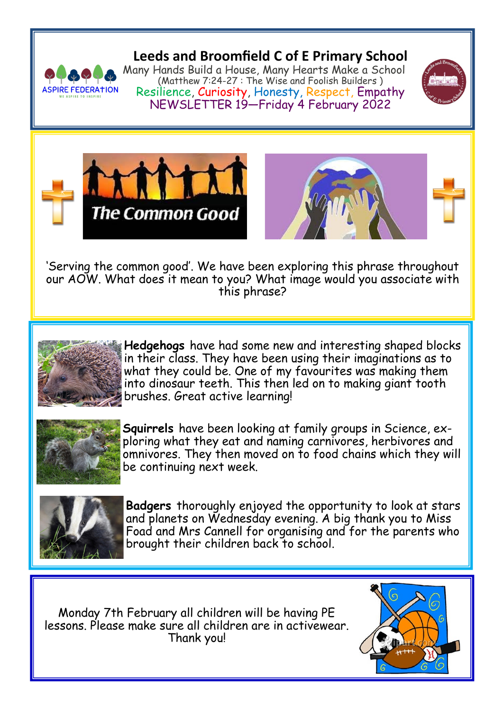

**Leeds and Broomfield C of E Primary School**

Many Hands Build a House, Many Hearts Make a School (Matthew 7:24-27 : The Wise and Foolish Builders ) Resilience, Curiosity, Honesty, Respect, Empathy NEWSLETTER 19—Friday 4 February 2022







'Serving the common good'. We have been exploring this phrase throughout our AOW. What does it mean to you? What image would you associate with this phrase?



**Hedgehogs** have had some new and interesting shaped blocks in their class. They have been using their imaginations as to what they could be. One of my favourites was making them into dinosaur teeth. This then led on to making giant tooth brushes. Great active learning!



**Squirrels** have been looking at family groups in Science, exploring what they eat and naming carnivores, herbivores and omnivores. They then moved on to food chains which they will be continuing next week.



**Badgers** thoroughly enjoyed the opportunity to look at stars and planets on Wednesday evening. A big thank you to Miss Foad and Mrs Cannell for organising and for the parents who brought their children back to school.

Monday 7th February all children will be having PE lessons. Please make sure all children are in activewear. Thank you!

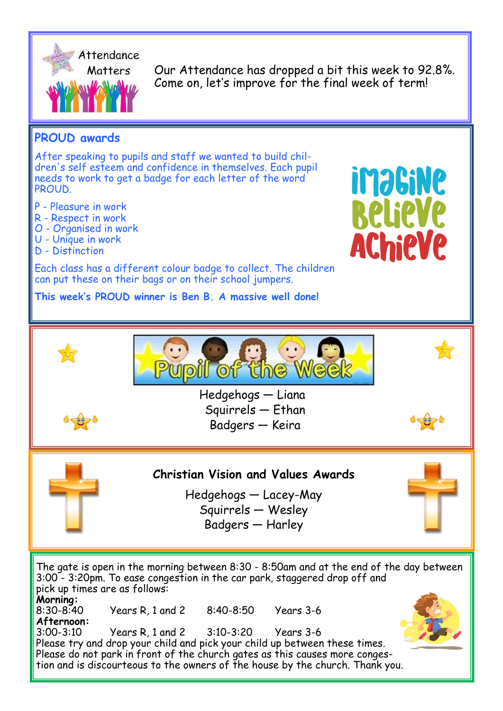

Our Attendance has dropped a bit this week to 92.8%. Come on, let's improve for the final week of term!

## **PROUD awards**

After speaking to pupils and staff we wanted to build children's self esteem and confidence in themselves. Each pupil needs to work to get a badge for each letter of the word PROUD.

P - Pleasure in work

- R Respect in work
- O Organised in work
- U Unique in work
- D Distinction

Each class has a different colour badge to collect. The children can put these on their bags or on their school jumpers.

**This week's PROUD winner is Ben B. A massive well done!**





Squirrels — Ethan Badgers — Keira





**Christian Vision and Values Awards**

Hedgehogs — Lacey-May Squirrels — Wesley Badgers — Harley

The gate is open in the morning between 8:30 - 8:50am and at the end of the day between 3:00 - 3:20pm. To ease congestion in the car park, staggered drop off and pick up times are as follows: **Morning:**<br>8:30-8:40 8:30-8:40 Years R, 1 and 2 8:40-8:50 Years 3-6 **Afternoon:**<br>3:00-3:10 3:00-3:10 Years R, 1 and 2 3:10-3:20 Years 3-6



Please try and drop your child and pick your child up between these times. Please do not park in front of the church gates as this causes more congestion and is discourteous to the owners of the house by the church. Thank you.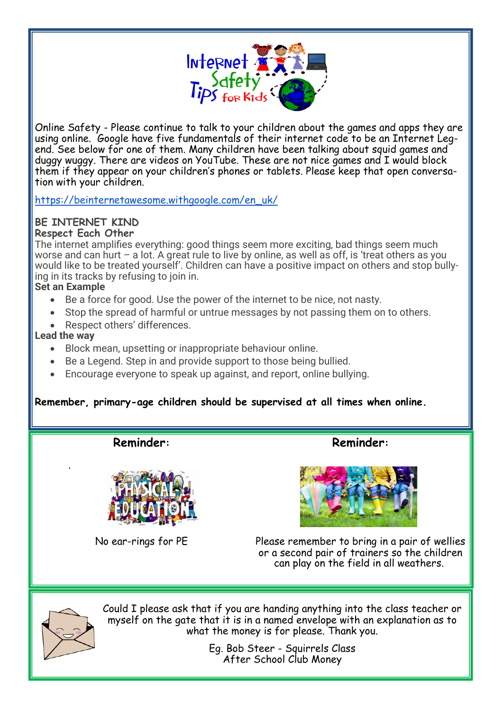

Online Safety - Please continue to talk to your children about the games and apps they are using online. Google have five fundamentals of their internet code to be an Internet Legend. See below for one of them. Many children have been talking about squid games and duggy wuggy. There are videos on YouTube. These are not nice games and I would block them if they appear on your children's phones or tablets. Please keep that open conversation with your children.

[https://beinternetawesome.withgoogle.com/en\\_uk/](https://beinternetawesome.withgoogle.com/en_uk/)

# **BE INTERNET KIND**

**Respect Each Other**

The internet amplifies everything: good things seem more exciting, bad things seem much worse and can hurt – a lot. A great rule to live by online, as well as off, is 'treat others as you would like to be treated yourself'. Children can have a positive impact on others and stop bullying in its tracks by refusing to join in.

#### **Set an Example**

- Be a force for good. Use the power of the internet to be nice, not nasty.
- Stop the spread of harmful or untrue messages by not passing them on to others.
- Respect others' differences.

#### **Lead the way**

.

- Block mean, upsetting or inappropriate behaviour online.
- Be a Legend. Step in and provide support to those being bullied.
- Encourage everyone to speak up against, and report, online bullying.

### **Remember, primary-age children should be supervised at all times when online.**

**Reminder:**



No ear-rings for PE

**Reminder:**



Please remember to bring in a pair of wellies or a second pair of trainers so the children can play on the field in all weathers.



Could I please ask that if you are handing anything into the class teacher or myself on the gate that it is in a named envelope with an explanation as to what the money is for please. Thank you.

> Eg. Bob Steer - Squirrels Class After School Club Money